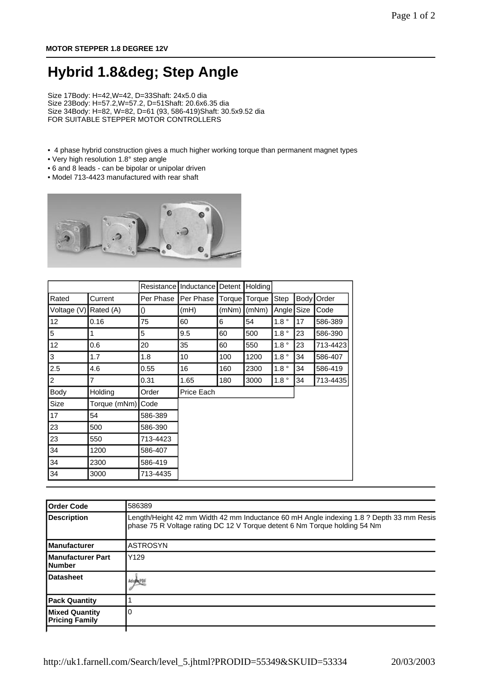## **Hybrid 1.8° Step Angle**

Size 17Body: H=42,W=42, D=33Shaft: 24x5.0 dia Size 23Body: H=57.2,W=57.2, D=51Shaft: 20.6x6.35 dia Size 34Body: H=82, W=82, D=61 (93, 586-419)Shaft: 30.5x9.52 dia FOR SUITABLE STEPPER MOTOR CONTROLLERS

- 4 phase hybrid construction gives a much higher working torque than permanent magnet types
- Very high resolution 1.8° step angle
- 6 and 8 leads can be bipolar or unipolar driven
- Model 713-4423 manufactured with rear shaft



|             |              | Resistance       | Inductance | Detent | Holding |                  |      |          |
|-------------|--------------|------------------|------------|--------|---------|------------------|------|----------|
| Rated       | Current      | Per Phase        | Per Phase  | Torque | Torque  | Step             | Body | Order    |
| Voltage (V) | Rated (A)    | $\left( \right)$ | (mH)       | (mNm)  | (mNm)   | Angle            | Size | Code     |
| 12          | 0.16         | 75               | 60         | 6      | 54      | 1.8°             | 17   | 586-389  |
| 5           | 1            | 5                | 9.5        | 60     | 500     | 1.8 <sup>°</sup> | 23   | 586-390  |
| 12          | 0.6          | 20               | 35         | 60     | 550     | 1.8°             | 23   | 713-4423 |
| 3           | 1.7          | 1.8              | 10         | 100    | 1200    | 1.8°             | 34   | 586-407  |
| 2.5         | 4.6          | 0.55             | 16         | 160    | 2300    | 1.8 <sup>°</sup> | 34   | 586-419  |
| 2           | 7            | 0.31             | 1.65       | 180    | 3000    | 1.8°             | 34   | 713-4435 |
| Body        | Holding      | Order            | Price Each |        |         |                  |      |          |
| Size        | Torque (mNm) | Code             |            |        |         |                  |      |          |
| 17          | 54           | 586-389          |            |        |         |                  |      |          |
| 23          | 500          | 586-390          |            |        |         |                  |      |          |
| 23          | 550          | 713-4423         |            |        |         |                  |      |          |
| 34          | 1200         | 586-407          |            |        |         |                  |      |          |
| 34          | 2300         | 586-419          |            |        |         |                  |      |          |
| 34          | 3000         | 713-4435         |            |        |         |                  |      |          |

| 586389                                                                                                                                                               |
|----------------------------------------------------------------------------------------------------------------------------------------------------------------------|
| Length/Height 42 mm Width 42 mm Inductance 60 mH Angle indexing 1.8 ? Depth 33 mm Resis<br>phase 75 R Voltage rating DC 12 V Torque detent 6 Nm Torque holding 54 Nm |
| IASTROSYN                                                                                                                                                            |
| Y129                                                                                                                                                                 |
| AdoptePDF                                                                                                                                                            |
|                                                                                                                                                                      |
|                                                                                                                                                                      |
|                                                                                                                                                                      |